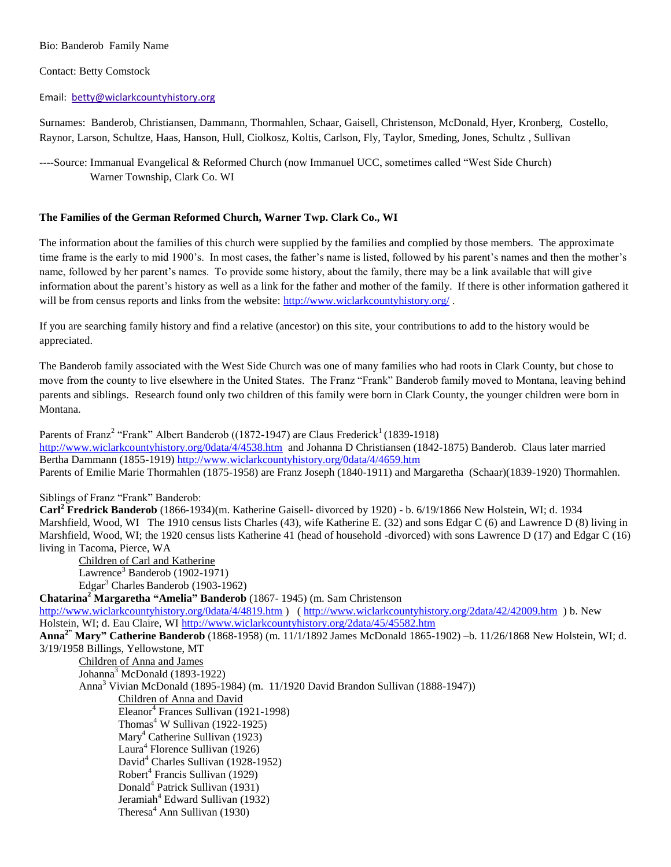# Bio: Banderob Family Name

# Contact: Betty Comstock

#### Email: [betty@wiclarkcountyhistory.org](mailto:betty@wiclarkcountyhistory.org)

Surnames: Banderob, Christiansen, Dammann, Thormahlen, Schaar, Gaisell, Christenson, McDonald, Hyer, Kronberg, Costello, Raynor, Larson, Schultze, Haas, Hanson, Hull, Ciolkosz, Koltis, Carlson, Fly, Taylor, Smeding, Jones, Schultz , Sullivan

----Source: Immanual Evangelical & Reformed Church (now Immanuel UCC, sometimes called "West Side Church) Warner Township, Clark Co. WI

# **The Families of the German Reformed Church, Warner Twp. Clark Co., WI**

The information about the families of this church were supplied by the families and complied by those members. The approximate time frame is the early to mid 1900's. In most cases, the father's name is listed, followed by his parent's names and then the mother's name, followed by her parent's names. To provide some history, about the family, there may be a link available that will give information about the parent's history as well as a link for the father and mother of the family. If there is other information gathered it will be from census reports and links from the website:<http://www.wiclarkcountyhistory.org/>.

If you are searching family history and find a relative (ancestor) on this site, your contributions to add to the history would be appreciated.

The Banderob family associated with the West Side Church was one of many families who had roots in Clark County, but chose to move from the county to live elsewhere in the United States. The Franz "Frank" Banderob family moved to Montana, leaving behind parents and siblings. Research found only two children of this family were born in Clark County, the younger children were born in Montana.

Parents of Franz<sup>2</sup> "Frank" Albert Banderob ((1872-1947) are Claus Frederick<sup>1</sup> (1839-1918) <http://www.wiclarkcountyhistory.org/0data/4/4538.htm> and Johanna D Christiansen (1842-1875) Banderob. Claus later married Bertha Dammann (1855-1919)<http://www.wiclarkcountyhistory.org/0data/4/4659.htm> Parents of Emilie Marie Thormahlen (1875-1958) are Franz Joseph (1840-1911) and Margaretha (Schaar)(1839-1920) Thormahlen.

#### Siblings of Franz "Frank" Banderob:

**Carl<sup>2</sup> Fredrick Banderob** (1866-1934)(m. Katherine Gaisell- divorced by 1920) - b. 6/19/1866 New Holstein, WI; d. 1934 Marshfield, Wood, WI The 1910 census lists Charles (43), wife Katherine E. (32) and sons Edgar C (6) and Lawrence D (8) living in Marshfield, Wood, WI; the 1920 census lists Katherine 41 (head of household -divorced) with sons Lawrence D (17) and Edgar C (16) living in Tacoma, Pierce, WA

Children of Carl and Katherine Lawrence<sup>3</sup> Banderob (1902-1971) Edgar<sup>3</sup> Charles Banderob (1903-1962)

**Chatarina<sup>2</sup> Margaretha "Amelia" Banderob** (1867- 1945) (m. Sam Christenson

<http://www.wiclarkcountyhistory.org/0data/4/4819.htm> ) (<http://www.wiclarkcountyhistory.org/2data/42/42009.htm>) b. New Holstein, WI; d. Eau Claire, W[I http://www.wiclarkcountyhistory.org/2data/45/45582.htm](http://www.wiclarkcountyhistory.org/2data/45/45582.htm) **Anna2" Mary" Catherine Banderob** (1868-1958) (m. 11/1/1892 James McDonald 1865-1902) –b. 11/26/1868 New Holstein, WI; d. 3/19/1958 Billings, Yellowstone, MT Children of Anna and James Johanna<sup>3</sup> McDonald (1893-1922) Anna<sup>3</sup> Vivian McDonald (1895-1984) (m. 11/1920 David Brandon Sullivan (1888-1947)) Children of Anna and David Eleanor<sup>4</sup> Frances Sullivan (1921-1998) Thomas<sup>4</sup> W Sullivan (1922-1925) Mary<sup>4</sup> Catherine Sullivan (1923) Laura<sup>4</sup> Florence Sullivan (1926) David<sup>4</sup> Charles Sullivan (1928-1952) Robert<sup>4</sup> Francis Sullivan (1929) Donald<sup>4</sup> Patrick Sullivan (1931) Jeramiah<sup>4</sup> Edward Sullivan (1932) Theresa<sup>4</sup> Ann Sullivan (1930)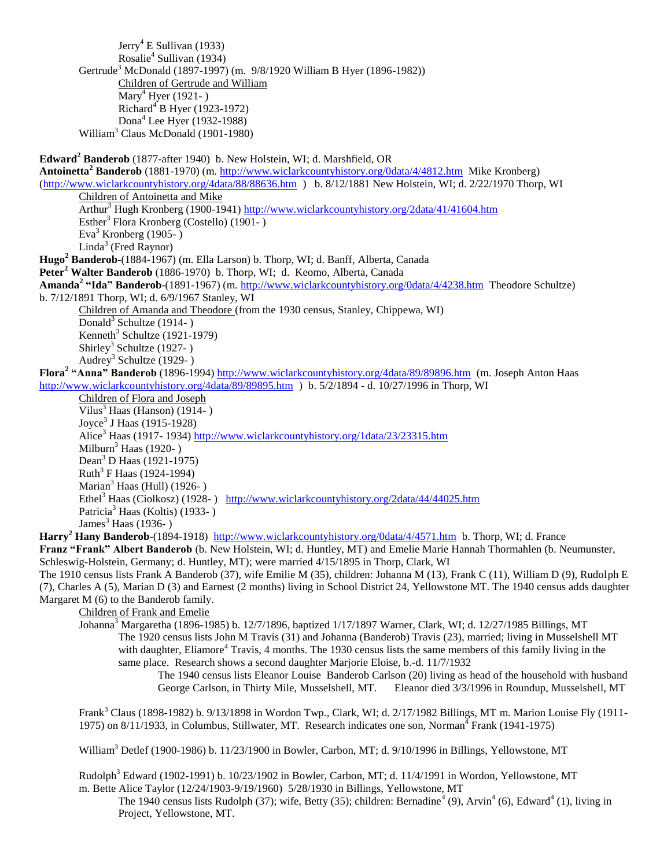Jerry<sup>4</sup> E Sullivan (1933) Rosalie<sup>4</sup> Sullivan (1934) Gertrude<sup>3</sup> McDonald (1897-1997) (m. 9/8/1920 William B Hyer (1896-1982)) Children of Gertrude and William Mary<sup>4</sup> Hyer (1921-) Richard<sup>4</sup> B Hyer (1923-1972) Dona<sup>4</sup> Lee Hyer (1932-1988) William<sup>3</sup> Claus McDonald (1901-1980) **Edward<sup>2</sup> Banderob** (1877-after 1940) b. New Holstein, WI; d. Marshfield, OR **Antoinetta<sup>2</sup> Banderob** (1881-1970) (m. <http://www.wiclarkcountyhistory.org/0data/4/4812.htm> Mike Kronberg) [\(http://www.wiclarkcountyhistory.org/4data/88/88636.htm](http://www.wiclarkcountyhistory.org/4data/88/88636.htm) ) b. 8/12/1881 New Holstein, WI; d. 2/22/1970 Thorp, WI Children of Antoinetta and Mike Arthur<sup>3</sup> Hugh Kronberg (1900-1941[\) http://www.wiclarkcountyhistory.org/2data/41/41604.htm](http://www.wiclarkcountyhistory.org/2data/41/41604.htm) Esther<sup>3</sup> Flora Kronberg (Costello)  $(1901 - )$ Eva<sup>3</sup> Kronberg (1905-) Linda<sup>3</sup> (Fred Raynor) **Hugo<sup>2</sup> Banderob**-(1884-1967) (m. Ella Larson) b. Thorp, WI; d. Banff, Alberta, Canada **Peter<sup>2</sup> Walter Banderob** (1886-1970) b. Thorp, WI; d. Keomo, Alberta, Canada **Amanda<sup>2</sup> "Ida" Banderob**-(1891-1967) (m.<http://www.wiclarkcountyhistory.org/0data/4/4238.htm>Theodore Schultze) b. 7/12/1891 Thorp, WI; d. 6/9/1967 Stanley, WI Children of Amanda and Theodore (from the 1930 census, Stanley, Chippewa, WI) Donald<sup>3</sup> Schultze (1914-) Kenneth<sup>3</sup> Schultze (1921-1979) Shirley<sup>3</sup> Schultze (1927-) Audrey<sup>3</sup> Schultze (1929- ) **Flora<sup>2</sup> "Anna" Banderob** (1896-1994)<http://www.wiclarkcountyhistory.org/4data/89/89896.htm>(m. Joseph Anton Haas <http://www.wiclarkcountyhistory.org/4data/89/89895.htm>) b. 5/2/1894 - d. 10/27/1996 in Thorp, WI Children of Flora and Joseph Vilus<sup>3</sup> Haas (Hanson) (1914-) Joyce<sup>3</sup> J Haas (1915-1928) Alice<sup>3</sup> Haas (1917- 1934) <http://www.wiclarkcountyhistory.org/1data/23/23315.htm> Milburn<sup>3</sup> Haas (1920-) Dean<sup>3</sup> D Haas (1921-1975) Ruth<sup>3</sup> F Haas (1924-1994) Marian<sup>3</sup> Haas (Hull) (1926-) Ethel<sup>3</sup> Haas (Ciolkosz) (1928-) <http://www.wiclarkcountyhistory.org/2data/44/44025.htm> Patricia<sup>3</sup> Haas (Koltis) (1933-) James<sup>3</sup> Haas (1936-) **Harry<sup>2</sup> Hany Banderob**-(1894-1918) <http://www.wiclarkcountyhistory.org/0data/4/4571.htm>b. Thorp, WI; d. France **Franz "Frank" Albert Banderob** (b. New Holstein, WI; d. Huntley, MT) and Emelie Marie Hannah Thormahlen (b. Neumunster, Schleswig-Holstein, Germany; d. Huntley, MT); were married 4/15/1895 in Thorp, Clark, WI The 1910 census lists Frank A Banderob (37), wife Emilie M (35), children: Johanna M (13), Frank C (11), William D (9), Rudolph E (7), Charles A (5), Marian D (3) and Earnest (2 months) living in School District 24, Yellowstone MT. The 1940 census adds daughter Margaret M (6) to the Banderob family. Children of Frank and Emelie Johanna<sup>3</sup> Margaretha (1896-1985) b. 12/7/1896, baptized 1/17/1897 Warner, Clark, WI; d. 12/27/1985 Billings, MT The 1920 census lists John M Travis (31) and Johanna (Banderob) Travis (23), married; living in Musselshell MT with daughter, Eliamore<sup>4</sup> Travis, 4 months. The 1930 census lists the same members of this family living in the

same place. Research shows a second daughter Marjorie Eloise, b.-d. 11/7/1932 The 1940 census lists Eleanor Louise Banderob Carlson (20) living as head of the household with husband

George Carlson, in Thirty Mile, Musselshell, MT. Eleanor died 3/3/1996 in Roundup, Musselshell, MT

Frank<sup>3</sup> Claus (1898-1982) b. 9/13/1898 in Wordon Twp., Clark, WI; d. 2/17/1982 Billings, MT m. Marion Louise Fly (1911-1975) on 8/11/1933, in Columbus, Stillwater, MT. Research indicates one son, Norman<sup>4</sup> Frank (1941-1975)

William<sup>3</sup> Detlef (1900-1986) b. 11/23/1900 in Bowler, Carbon, MT; d. 9/10/1996 in Billings, Yellowstone, MT

Rudolph<sup>3</sup> Edward (1902-1991) b. 10/23/1902 in Bowler, Carbon, MT; d. 11/4/1991 in Wordon, Yellowstone, MT m. Bette Alice Taylor (12/24/1903-9/19/1960) 5/28/1930 in Billings, Yellowstone, MT

The 1940 census lists Rudolph (37); wife, Betty (35); children: Bernadine<sup>4</sup> (9), Arvin<sup>4</sup> (6), Edward<sup>4</sup> (1), living in Project, Yellowstone, MT.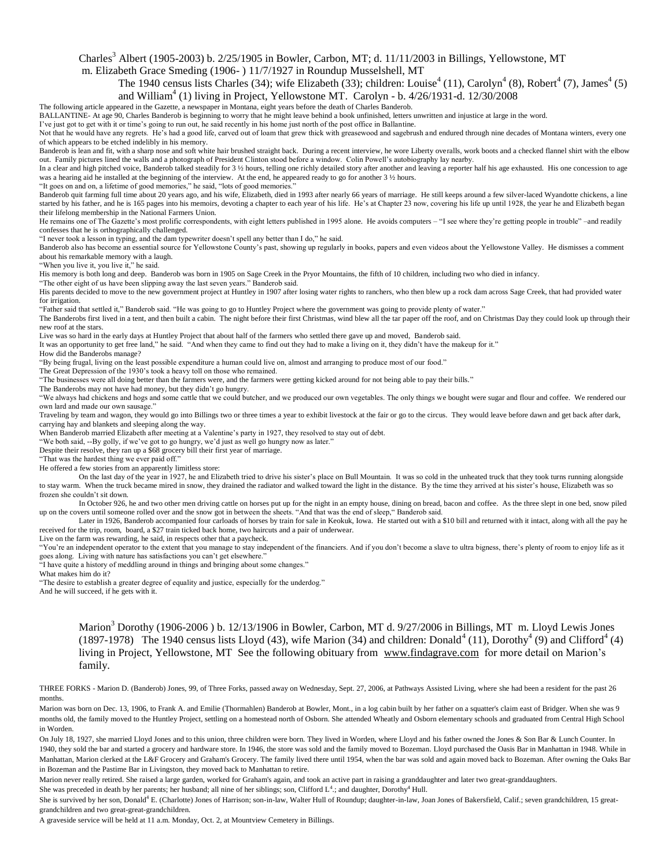#### Charles<sup>3</sup> Albert (1905-2003) b.  $2/25/1905$  in Bowler, Carbon, MT; d. 11/11/2003 in Billings, Yellowstone, MT m. Elizabeth Grace Smeding (1906- ) 11/7/1927 in Roundup Musselshell, MT

The 1940 census lists Charles (34); wife Elizabeth (33); children: Louise<sup>4</sup> (11), Carolyn<sup>4</sup> (8), Robert<sup>4</sup> (7), James<sup>4</sup> (5) and William<sup>4</sup> (1) living in Project, Yellowstone MT. Carolyn - b. 4/26/1931-d. 12/30/2008

The following article appeared in the Gazette, a newspaper in Montana, eight years before the death of Charles Banderob.

BALLANTINE- At age 90, Charles Banderob is beginning to worry that he might leave behind a book unfinished, letters unwritten and injustice at large in the word.

I've just got to get with it or time's going to run out, he said recently in his home just north of the post office in Ballantine. Not that he would have any regrets. He's had a good life, carved out of loam that grew thick with greasewood and sagebrush and endured through nine decades of Montana winters, every one of which appears to be etched indelibly in his memory.

Banderob is lean and fit, with a sharp nose and soft white hair brushed straight back. During a recent interview, he wore Liberty overalls, work boots and a checked flannel shirt with the elbow out. Family pictures lined the walls and a photograph of President Clinton stood before a window. Colin Powell's autobiography lay nearby.

In a clear and high pitched voice, Banderob talked steadily for 3 ½ hours, telling one richly detailed story after another and leaving a reporter half his age exhausted. His one concession to age was a hearing aid he installed at the beginning of the interview. At the end, he appeared ready to go for another 3 ½ hours.

"It goes on and on, a lifetime of good memories," he said, "lots of good memories."

Banderob quit farming full time about 20 years ago, and his wife, Elizabeth, died in 1993 after nearly 66 years of marriage. He still keeps around a few silver-laced Wyandotte chickens, a line started by his father, and he is 165 pages into his memoirs, devoting a chapter to each year of his life. He's at Chapter 23 now, covering his life up until 1928, the year he and Elizabeth began their lifelong membership in the National Farmers Union.

He remains one of The Gazette's most prolific correspondents, with eight letters published in 1995 alone. He avoids computers - "I see where they're getting people in trouble" -and readily confesses that he is orthographically challenged.

"I never took a lesson in typing, and the dam typewriter doesn't spell any better than I do," he said.

Banderob also has become an essential source for Yellowstone County's past, showing up regularly in books, papers and even videos about the Yellowstone Valley. He dismisses a comment about his remarkable memory with a laugh.

"When you live it, you live it," he said.

His memory is both long and deep. Banderob was born in 1905 on Sage Creek in the Pryor Mountains, the fifth of 10 children, including two who died in infancy.

"The other eight of us have been slipping away the last seven years." Banderob said.

His parents decided to move to the new government project at Huntley in 1907 after losing water rights to ranchers, who then blew up a rock dam across Sage Creek, that had provided water for irrigation.

"Father said that settled it," Banderob said. "He was going to go to Huntley Project where the government was going to provide plenty of water."

The Banderobs first lived in a tent, and then built a cabin. The night before their first Christmas, wind blew all the tar paper off the roof, and on Christmas Day they could look up through their new roof at the stars.

Live was so hard in the early days at Huntley Project that about half of the farmers who settled there gave up and moved. Banderob said.

It was an opportunity to get free land," he said. "And when they came to find out they had to make a living on it, they didn't have the makeup for it."

How did the Banderobs manage?

"By being frugal, living on the least possible expenditure a human could live on, almost and arranging to produce most of our food."

The Great Depression of the 1930's took a heavy toll on those who remained. "The businesses were all doing better than the farmers were, and the farmers were getting kicked around for not being able to pay their bills."

The Banderobs may not have had money, but they didn't go hungry.

"We always had chickens and hogs and some cattle that we could butcher, and we produced our own vegetables. The only things we bought were sugar and flour and coffee. We rendered our own lard and made our own sausage."

Traveling by team and wagon, they would go into Billings two or three times a year to exhibit livestock at the fair or go to the circus. They would leave before dawn and get back after dark, carrying hay and blankets and sleeping along the way.

When Banderob married Elizabeth after meeting at a Valentine's party in 1927, they resolved to stay out of debt.

"We both said, --By golly, if we've got to go hungry, we'd just as well go hungry now as later."

Despite their resolve, they ran up a \$68 grocery bill their first year of marriage.

"That was the hardest thing we ever paid off."

He offered a few stories from an apparently limitless store:

On the last day of the year in 1927, he and Elizabeth tried to drive his sister's place on Bull Mountain. It was so cold in the unheated truck that they took turns running alongside to stay warm. When the truck became mired in snow, they drained the radiator and walked toward the light in the distance. By the time they arrived at his sister's house, Elizabeth was so frozen she couldn't sit down.

In October 926, he and two other men driving cattle on horses put up for the night in an empty house, dining on bread, bacon and coffee. As the three slept in one bed, snow piled up on the covers until someone rolled over and the snow got in between the sheets. "And that was the end of sleep," Banderob said.

Later in 1926, Banderob accompanied four carloads of horses by train for sale in Keokuk, Iowa. He started out with a \$10 bill and returned with it intact, along with all the pay he received for the trip, room, board, a \$27 train ticked back home, two haircuts and a pair of underwear.

Live on the farm was rewarding, he said, in respects other that a paycheck.

"You're an independent operator to the extent that you manage to stay independent of the financiers. And if you don't become a slave to ultra bigness, there's plenty of room to enjoy life as it goes along. Living with nature has satisfactions you can't get elsewhere."

"I have quite a history of meddling around in things and bringing about some changes."

What makes him do it?

"The desire to establish a greater degree of equality and justice, especially for the underdog."

And he will succeed, if he gets with it.

Marion<sup>3</sup> Dorothy (1906-2006) b. 12/13/1906 in Bowler, Carbon, MT d. 9/27/2006 in Billings, MT m. Lloyd Lewis Jones (1897-1978) The 1940 census lists Lloyd (43), wife Marion (34) and children: Donald<sup>4</sup> (11), Dorothy<sup>4</sup> (9) and Clifford<sup>4</sup> (4) living in Project, Yellowstone, MT See the following obituary from www.findagrave.com for more detail on Marion's family.

THREE FORKS - Marion D. (Banderob) Jones, 99, of Three Forks, passed away on Wednesday, Sept. 27, 2006, at Pathways Assisted Living, where she had been a resident for the past 26 months.

Marion was born on Dec. 13, 1906, to Frank A. and Emilie (Thormahlen) Banderob at Bowler, Mont., in a log cabin built by her father on a squatter's claim east of Bridger. When she was 9 months old, the family moved to the Huntley Project, settling on a homestead north of Osborn. She attended Wheatly and Osborn elementary schools and graduated from Central High School in Worden.

On July 18, 1927, she married Lloyd Jones and to this union, three children were born. They lived in Worden, where Lloyd and his father owned the Jones & Son Bar & Lunch Counter. In 1940, they sold the bar and started a grocery and hardware store. In 1946, the store was sold and the family moved to Bozeman. Lloyd purchased the Oasis Bar in Manhattan in 1948. While in Manhattan, Marion clerked at the L&F Grocery and Graham's Grocery. The family lived there until 1954, when the bar was sold and again moved back to Bozeman. After owning the Oaks Bar in Bozeman and the Pastime Bar in Livingston, they moved back to Manhattan to retire.

Marion never really retired. She raised a large garden, worked for Graham's again, and took an active part in raising a granddaughter and later two great-granddaughters.

She was preceded in death by her parents; her husband; all nine of her siblings; son, Clifford  $L^4$ .; and daughter, Dorothy<sup>4</sup> Hull.

She is survived by her son, Donald<sup>4</sup> E. (Charlotte) Jones of Harrison; son-in-law, Walter Hull of Roundup; daughter-in-law, Joan Jones of Bakersfield, Calif.; seven grandchildren, 15 greatgrandchildren and two great-great-grandchildren.

A graveside service will be held at 11 a.m. Monday, Oct. 2, at Mountview Cemetery in Billings.